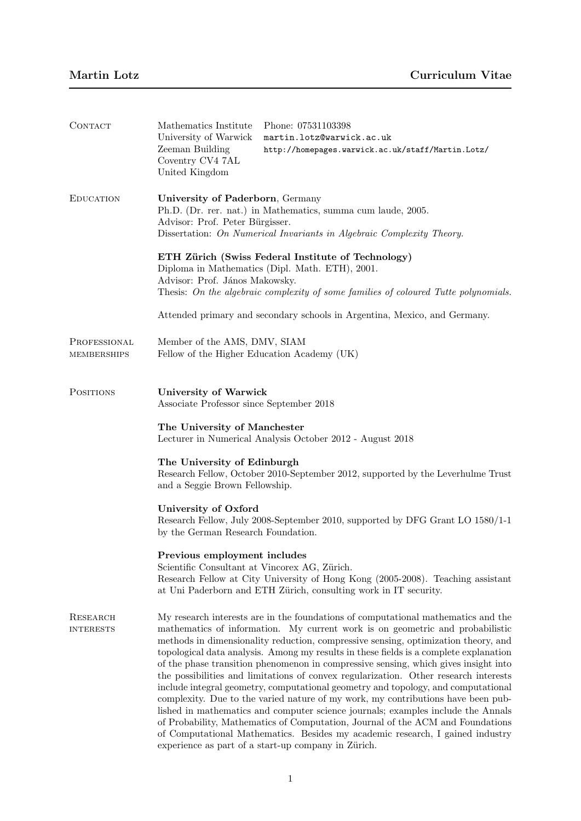| CONTACT                      | Mathematics Institute<br>University of Warwick<br>Zeeman Building<br>Coventry CV4 7AL<br>United Kingdom                                                                                                                                                                                                                                                                                                                                                                                                                                                                                                                                                                                                                                                                                                                                                                                                                                                                                                                 | Phone: 07531103398<br>martin.lotz@warwick.ac.uk<br>http://homepages.warwick.ac.uk/staff/Martin.Lotz/                                                |  |  |
|------------------------------|-------------------------------------------------------------------------------------------------------------------------------------------------------------------------------------------------------------------------------------------------------------------------------------------------------------------------------------------------------------------------------------------------------------------------------------------------------------------------------------------------------------------------------------------------------------------------------------------------------------------------------------------------------------------------------------------------------------------------------------------------------------------------------------------------------------------------------------------------------------------------------------------------------------------------------------------------------------------------------------------------------------------------|-----------------------------------------------------------------------------------------------------------------------------------------------------|--|--|
| <b>EDUCATION</b>             | University of Paderborn, Germany<br>Ph.D. (Dr. rer. nat.) in Mathematics, summa cum laude, 2005.<br>Advisor: Prof. Peter Bürgisser.<br>Dissertation: On Numerical Invariants in Algebraic Complexity Theory.                                                                                                                                                                                                                                                                                                                                                                                                                                                                                                                                                                                                                                                                                                                                                                                                            |                                                                                                                                                     |  |  |
|                              | ETH Zürich (Swiss Federal Institute of Technology)<br>Diploma in Mathematics (Dipl. Math. ETH), 2001.<br>Advisor: Prof. János Makowsky.<br>Thesis: On the algebraic complexity of some families of coloured Tutte polynomials.                                                                                                                                                                                                                                                                                                                                                                                                                                                                                                                                                                                                                                                                                                                                                                                          |                                                                                                                                                     |  |  |
|                              | Attended primary and secondary schools in Argentina, Mexico, and Germany.                                                                                                                                                                                                                                                                                                                                                                                                                                                                                                                                                                                                                                                                                                                                                                                                                                                                                                                                               |                                                                                                                                                     |  |  |
| PROFESSIONAL<br>MEMBERSHIPS  | Member of the AMS, DMV, SIAM<br>Fellow of the Higher Education Academy (UK)                                                                                                                                                                                                                                                                                                                                                                                                                                                                                                                                                                                                                                                                                                                                                                                                                                                                                                                                             |                                                                                                                                                     |  |  |
| <b>POSITIONS</b>             | University of Warwick<br>Associate Professor since September 2018                                                                                                                                                                                                                                                                                                                                                                                                                                                                                                                                                                                                                                                                                                                                                                                                                                                                                                                                                       |                                                                                                                                                     |  |  |
|                              | The University of Manchester<br>Lecturer in Numerical Analysis October 2012 - August 2018                                                                                                                                                                                                                                                                                                                                                                                                                                                                                                                                                                                                                                                                                                                                                                                                                                                                                                                               |                                                                                                                                                     |  |  |
|                              | The University of Edinburgh<br>Research Fellow, October 2010-September 2012, supported by the Leverhulme Trust<br>and a Seggie Brown Fellowship.                                                                                                                                                                                                                                                                                                                                                                                                                                                                                                                                                                                                                                                                                                                                                                                                                                                                        |                                                                                                                                                     |  |  |
|                              | University of Oxford<br>Research Fellow, July 2008-September 2010, supported by DFG Grant LO 1580/1-1<br>by the German Research Foundation.                                                                                                                                                                                                                                                                                                                                                                                                                                                                                                                                                                                                                                                                                                                                                                                                                                                                             |                                                                                                                                                     |  |  |
|                              | Previous employment includes<br>Scientific Consultant at Vincorex AG, Zürich.                                                                                                                                                                                                                                                                                                                                                                                                                                                                                                                                                                                                                                                                                                                                                                                                                                                                                                                                           | Research Fellow at City University of Hong Kong (2005-2008). Teaching assistant<br>at Uni Paderborn and ETH Zürich, consulting work in IT security. |  |  |
| RESEARCH<br><b>INTERESTS</b> | My research interests are in the foundations of computational mathematics and the<br>mathematics of information. My current work is on geometric and probabilistic<br>methods in dimensionality reduction, compressive sensing, optimization theory, and<br>topological data analysis. Among my results in these fields is a complete explanation<br>of the phase transition phenomenon in compressive sensing, which gives insight into<br>the possibilities and limitations of convex regularization. Other research interests<br>include integral geometry, computational geometry and topology, and computational<br>complexity. Due to the varied nature of my work, my contributions have been pub-<br>lished in mathematics and computer science journals; examples include the Annals<br>of Probability, Mathematics of Computation, Journal of the ACM and Foundations<br>of Computational Mathematics. Besides my academic research, I gained industry<br>experience as part of a start-up company in Zürich. |                                                                                                                                                     |  |  |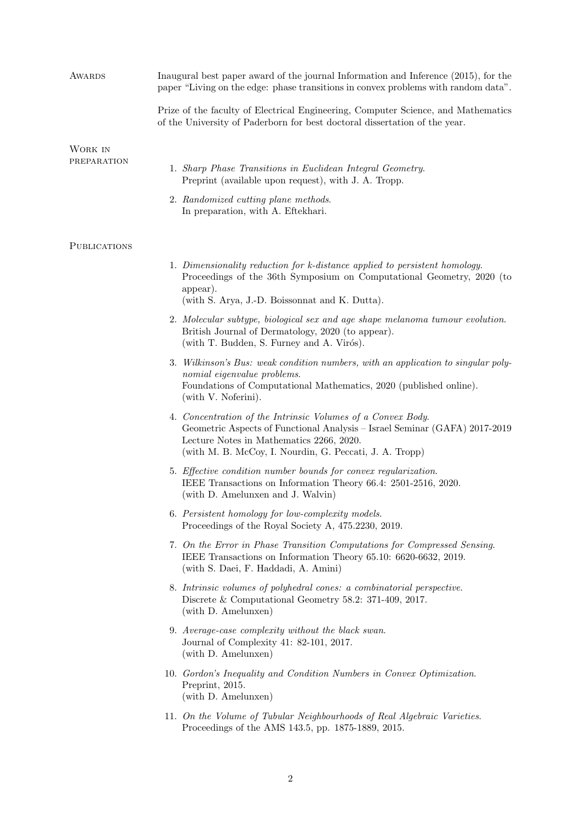| <b>AWARDS</b>          | Inaugural best paper award of the journal Information and Inference (2015), for the<br>paper "Living on the edge: phase transitions in convex problems with random data".<br>Prize of the faculty of Electrical Engineering, Computer Science, and Mathematics<br>of the University of Paderborn for best doctoral dissertation of the year. |  |  |
|------------------------|----------------------------------------------------------------------------------------------------------------------------------------------------------------------------------------------------------------------------------------------------------------------------------------------------------------------------------------------|--|--|
|                        |                                                                                                                                                                                                                                                                                                                                              |  |  |
| WORK IN<br>PREPARATION | 1. Sharp Phase Transitions in Euclidean Integral Geometry.<br>Preprint (available upon request), with J. A. Tropp.                                                                                                                                                                                                                           |  |  |
|                        | 2. Randomized cutting plane methods.<br>In preparation, with A. Eftekhari.                                                                                                                                                                                                                                                                   |  |  |
| <b>PUBLICATIONS</b>    |                                                                                                                                                                                                                                                                                                                                              |  |  |
|                        | 1. Dimensionality reduction for k-distance applied to persistent homology.<br>Proceedings of the 36th Symposium on Computational Geometry, 2020 (to<br>appear).<br>(with S. Arya, J.-D. Boissonnat and K. Dutta).                                                                                                                            |  |  |
|                        | 2. Molecular subtype, biological sex and age shape melanoma tumour evolution.<br>British Journal of Dermatology, 2020 (to appear).<br>(with T. Budden, S. Furney and A. Virós).                                                                                                                                                              |  |  |
|                        | 3. Wilkinson's Bus: weak condition numbers, with an application to singular poly-<br>nomial eigenvalue problems.<br>Foundations of Computational Mathematics, 2020 (published online).<br>(with V. Noferini).                                                                                                                                |  |  |
|                        | 4. Concentration of the Intrinsic Volumes of a Convex Body.<br>Geometric Aspects of Functional Analysis - Israel Seminar (GAFA) 2017-2019<br>Lecture Notes in Mathematics 2266, 2020.<br>(with M. B. McCoy, I. Nourdin, G. Peccati, J. A. Tropp)                                                                                             |  |  |
|                        | 5. Effective condition number bounds for convex regularization.<br>IEEE Transactions on Information Theory 66.4: 2501-2516, 2020.<br>(with D. Amelunxen and J. Walvin)                                                                                                                                                                       |  |  |
|                        | 6. Persistent homology for low-complexity models.<br>Proceedings of the Royal Society A, 475.2230, 2019.                                                                                                                                                                                                                                     |  |  |
|                        | 7. On the Error in Phase Transition Computations for Compressed Sensing.<br>IEEE Transactions on Information Theory 65.10: 6620-6632, 2019.<br>(with S. Daei, F. Haddadi, A. Amini)                                                                                                                                                          |  |  |
|                        | 8. Intrinsic volumes of polyhedral cones: a combinatorial perspective.<br>Discrete & Computational Geometry 58.2: 371-409, 2017.<br>(with D. Amelunxen)                                                                                                                                                                                      |  |  |
|                        | 9. Average-case complexity without the black swan.<br>Journal of Complexity 41: 82-101, 2017.<br>(with D. Amelunxen)                                                                                                                                                                                                                         |  |  |
|                        | 10. Gordon's Inequality and Condition Numbers in Convex Optimization.<br>Preprint, 2015.<br>(with D. Amelunxen)                                                                                                                                                                                                                              |  |  |
|                        | 11. On the Volume of Tubular Neighbourhoods of Real Algebraic Varieties.<br>Proceedings of the AMS 143.5, pp. 1875-1889, 2015.                                                                                                                                                                                                               |  |  |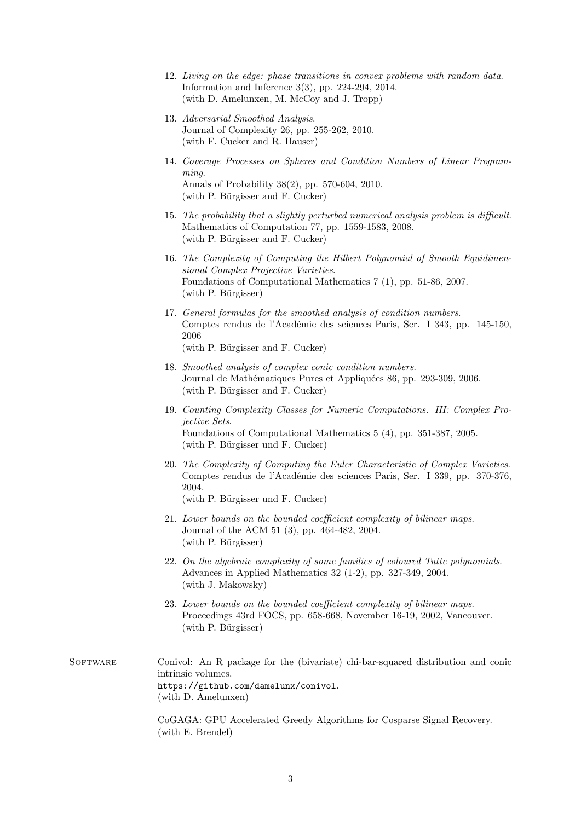- 12. Living on the edge: phase transitions in convex problems with random data. Information and Inference 3(3), pp. 224-294, 2014. (with D. Amelunxen, M. McCoy and J. Tropp)
- 13. Adversarial Smoothed Analysis. Journal of Complexity 26, pp. 255-262, 2010. (with F. Cucker and R. Hauser)
- 14. Coverage Processes on Spheres and Condition Numbers of Linear Programming. Annals of Probability 38(2), pp. 570-604, 2010.  $(\text{with } P. \text{ Bürgisser and } F. \text{ Cucker})$
- 15. The probability that a slightly perturbed numerical analysis problem is difficult. Mathematics of Computation 77, pp. 1559-1583, 2008. (with P. Bürgisser and F. Cucker)
- 16. The Complexity of Computing the Hilbert Polynomial of Smooth Equidimensional Complex Projective Varieties. Foundations of Computational Mathematics 7 (1), pp. 51-86, 2007.  $(\text{with } P. \text{ Bürgisser})$
- 17. General formulas for the smoothed analysis of condition numbers. Comptes rendus de l'Académie des sciences Paris, Ser. I 343, pp. 145-150, 2006

 $(\text{with } P. \text{ Bürgisser and } F. \text{ Cucker})$ 

- 18. Smoothed analysis of complex conic condition numbers. Journal de Mathématiques Pures et Appliquées 86, pp. 293-309, 2006.  $(\text{with } P. \text{ Bürzisser and } F. \text{ Cucker})$
- 19. Counting Complexity Classes for Numeric Computations. III: Complex Projective Sets. Foundations of Computational Mathematics 5 (4), pp. 351-387, 2005.  $(\text{with } P. \text{ Bürgisser und } F. \text{ Cucker})$
- 20. The Complexity of Computing the Euler Characteristic of Complex Varieties. Comptes rendus de l'Académie des sciences Paris, Ser. I 339, pp. 370-376, 2004.

 $(\text{with } P. \text{ Bürgisser und } F. \text{ Cucker})$ 

- 21. Lower bounds on the bounded coefficient complexity of bilinear maps. Journal of the ACM 51 (3), pp. 464-482, 2004.  $(with P. Bürgisser)$
- 22. On the algebraic complexity of some families of coloured Tutte polynomials. Advances in Applied Mathematics 32 (1-2), pp. 327-349, 2004. (with J. Makowsky)
- 23. Lower bounds on the bounded coefficient complexity of bilinear maps. Proceedings 43rd FOCS, pp. 658-668, November 16-19, 2002, Vancouver. (with P. Bürgisser)
- SOFTWARE Conivol: An R package for the (bivariate) chi-bar-squared distribution and conic intrinsic volumes. https://github.com/damelunx/conivol. (with D. Amelunxen)

CoGAGA: GPU Accelerated Greedy Algorithms for Cosparse Signal Recovery. (with E. Brendel)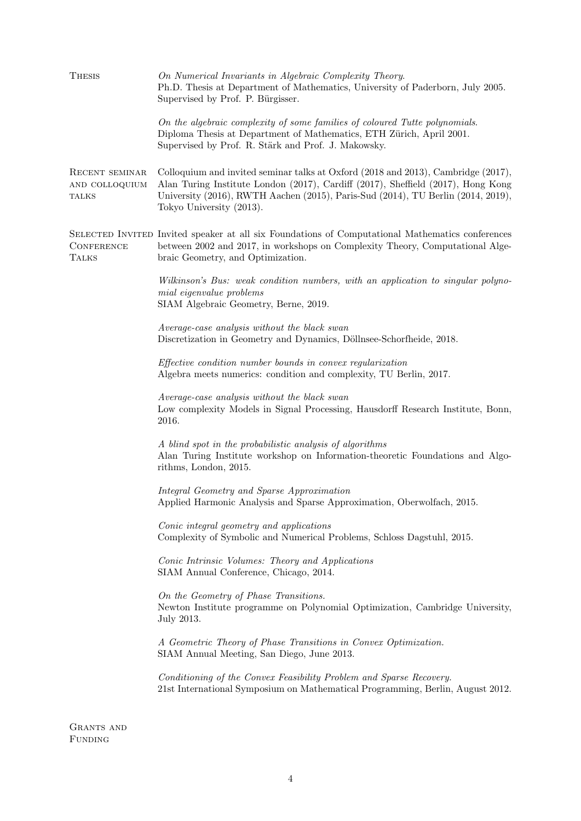| <b>THESIS</b>                                    | On Numerical Invariants in Algebraic Complexity Theory.<br>Ph.D. Thesis at Department of Mathematics, University of Paderborn, July 2005.<br>Supervised by Prof. P. Bürgisser.                                                                                                        |  |  |  |  |
|--------------------------------------------------|---------------------------------------------------------------------------------------------------------------------------------------------------------------------------------------------------------------------------------------------------------------------------------------|--|--|--|--|
|                                                  | On the algebraic complexity of some families of coloured Tutte polynomials.<br>Diploma Thesis at Department of Mathematics, ETH Zürich, April 2001.<br>Supervised by Prof. R. Stärk and Prof. J. Makowsky.                                                                            |  |  |  |  |
| RECENT SEMINAR<br>AND COLLOQUIUM<br><b>TALKS</b> | Colloquium and invited seminar talks at Oxford (2018 and 2013), Cambridge (2017),<br>Alan Turing Institute London (2017), Cardiff (2017), Sheffield (2017), Hong Kong<br>University (2016), RWTH Aachen (2015), Paris-Sud (2014), TU Berlin (2014, 2019),<br>Tokyo University (2013). |  |  |  |  |
| <b>CONFERENCE</b><br><b>TALKS</b>                | SELECTED INVITED Invited speaker at all six Foundations of Computational Mathematics conferences<br>between 2002 and 2017, in workshops on Complexity Theory, Computational Alge-<br>braic Geometry, and Optimization.                                                                |  |  |  |  |
|                                                  | Wilkinson's Bus: weak condition numbers, with an application to singular polyno-<br>mial eigenvalue problems<br>SIAM Algebraic Geometry, Berne, 2019.                                                                                                                                 |  |  |  |  |
|                                                  | Average-case analysis without the black swan<br>Discretization in Geometry and Dynamics, Döllnsee-Schorfheide, 2018.                                                                                                                                                                  |  |  |  |  |
|                                                  | Effective condition number bounds in convex regularization<br>Algebra meets numerics: condition and complexity, TU Berlin, 2017.                                                                                                                                                      |  |  |  |  |
|                                                  | Average-case analysis without the black swan<br>Low complexity Models in Signal Processing, Hausdorff Research Institute, Bonn,<br>2016.                                                                                                                                              |  |  |  |  |
|                                                  | A blind spot in the probabilistic analysis of algorithms<br>Alan Turing Institute workshop on Information-theoretic Foundations and Algo-<br>rithms, London, 2015.                                                                                                                    |  |  |  |  |
|                                                  | Integral Geometry and Sparse Approximation<br>Applied Harmonic Analysis and Sparse Approximation, Oberwolfach, 2015.                                                                                                                                                                  |  |  |  |  |
|                                                  | Conic integral geometry and applications<br>Complexity of Symbolic and Numerical Problems, Schloss Dagstuhl, 2015.                                                                                                                                                                    |  |  |  |  |
|                                                  | Conic Intrinsic Volumes: Theory and Applications<br>SIAM Annual Conference, Chicago, 2014.                                                                                                                                                                                            |  |  |  |  |
|                                                  | On the Geometry of Phase Transitions.<br>Newton Institute programme on Polynomial Optimization, Cambridge University,<br>July 2013.                                                                                                                                                   |  |  |  |  |
|                                                  | A Geometric Theory of Phase Transitions in Convex Optimization.<br>SIAM Annual Meeting, San Diego, June 2013.                                                                                                                                                                         |  |  |  |  |
|                                                  | Conditioning of the Convex Feasibility Problem and Sparse Recovery.<br>21st International Symposium on Mathematical Programming, Berlin, August 2012.                                                                                                                                 |  |  |  |  |
|                                                  |                                                                                                                                                                                                                                                                                       |  |  |  |  |

Grants and Funding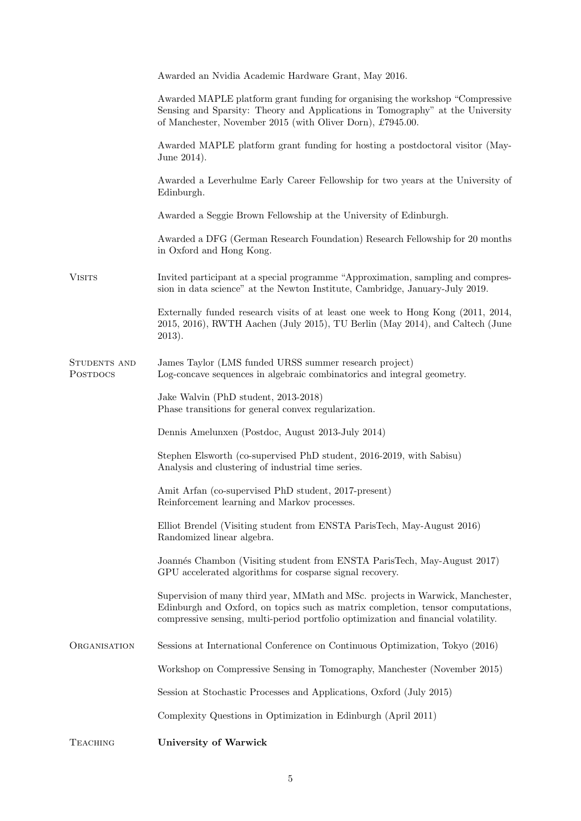|                                 | Awarded an Nvidia Academic Hardware Grant, May 2016.                                                                                                                                                                                                     |  |  |  |
|---------------------------------|----------------------------------------------------------------------------------------------------------------------------------------------------------------------------------------------------------------------------------------------------------|--|--|--|
|                                 | Awarded MAPLE platform grant funding for organising the workshop "Compressive"<br>Sensing and Sparsity: Theory and Applications in Tomography" at the University<br>of Manchester, November 2015 (with Oliver Dorn), £7945.00.                           |  |  |  |
|                                 | Awarded MAPLE platform grant funding for hosting a postdoctoral visitor (May-<br>June 2014).                                                                                                                                                             |  |  |  |
|                                 | Awarded a Leverhulme Early Career Fellowship for two years at the University of<br>Edinburgh.                                                                                                                                                            |  |  |  |
|                                 | Awarded a Seggie Brown Fellowship at the University of Edinburgh.                                                                                                                                                                                        |  |  |  |
|                                 | Awarded a DFG (German Research Foundation) Research Fellowship for 20 months<br>in Oxford and Hong Kong.                                                                                                                                                 |  |  |  |
| <b>VISITS</b>                   | Invited participant at a special programme "Approximation, sampling and compres-<br>sion in data science" at the Newton Institute, Cambridge, January-July 2019.                                                                                         |  |  |  |
|                                 | Externally funded research visits of at least one week to Hong Kong (2011, 2014,<br>2015, 2016), RWTH Aachen (July 2015), TU Berlin (May 2014), and Caltech (June<br>2013).                                                                              |  |  |  |
| STUDENTS AND<br><b>POSTDOCS</b> | James Taylor (LMS funded URSS summer research project)<br>Log-concave sequences in algebraic combinatorics and integral geometry.                                                                                                                        |  |  |  |
|                                 | Jake Walvin (PhD student, 2013-2018)<br>Phase transitions for general convex regularization.                                                                                                                                                             |  |  |  |
|                                 | Dennis Amelunxen (Postdoc, August 2013-July 2014)                                                                                                                                                                                                        |  |  |  |
|                                 | Stephen Elsworth (co-supervised PhD student, 2016-2019, with Sabisu)<br>Analysis and clustering of industrial time series.                                                                                                                               |  |  |  |
|                                 | Amit Arfan (co-supervised PhD student, 2017-present)<br>Reinforcement learning and Markov processes.                                                                                                                                                     |  |  |  |
|                                 | Elliot Brendel (Visiting student from ENSTA ParisTech, May-August 2016)<br>Randomized linear algebra.                                                                                                                                                    |  |  |  |
|                                 | Joannés Chambon (Visiting student from ENSTA ParisTech, May-August 2017)<br>GPU accelerated algorithms for cosparse signal recovery.                                                                                                                     |  |  |  |
|                                 | Supervision of many third year, MMath and MSc. projects in Warwick, Manchester,<br>Edinburgh and Oxford, on topics such as matrix completion, tensor computations,<br>compressive sensing, multi-period portfolio optimization and financial volatility. |  |  |  |
| ORGANISATION                    | Sessions at International Conference on Continuous Optimization, Tokyo (2016)                                                                                                                                                                            |  |  |  |
|                                 | Workshop on Compressive Sensing in Tomography, Manchester (November 2015)                                                                                                                                                                                |  |  |  |
|                                 | Session at Stochastic Processes and Applications, Oxford (July 2015)                                                                                                                                                                                     |  |  |  |
|                                 | Complexity Questions in Optimization in Edinburgh (April 2011)                                                                                                                                                                                           |  |  |  |
| <b>TEACHING</b>                 | <b>University of Warwick</b>                                                                                                                                                                                                                             |  |  |  |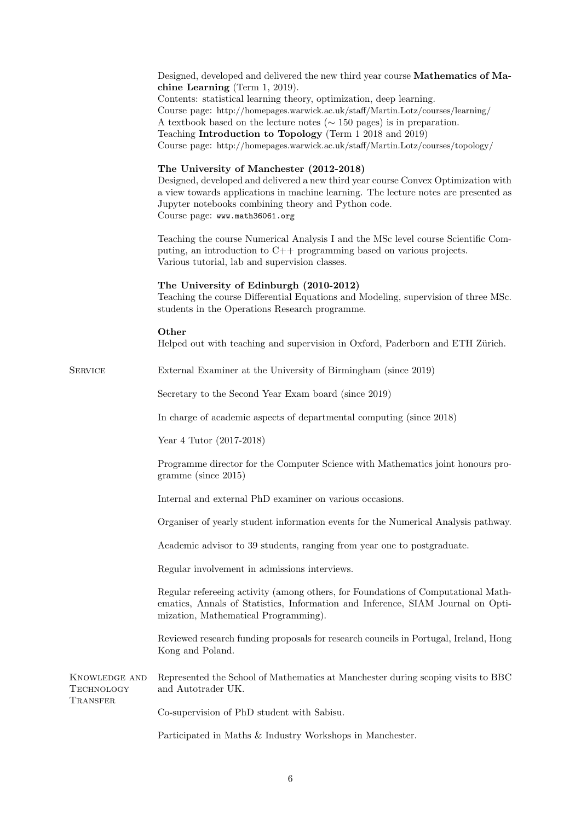|                                         | Designed, developed and delivered the new third year course Mathematics of Ma-<br>chine Learning (Term $1, 2019$ ).<br>Contents: statistical learning theory, optimization, deep learning.<br>Course page: http://homepages.warwick.ac.uk/staff/Martin.Lotz/courses/learning/<br>A textbook based on the lecture notes ( $\sim$ 150 pages) is in preparation.<br>Teaching Introduction to Topology (Term 1 2018 and 2019)<br>Course page: http://homepages.warwick.ac.uk/staff/Martin.Lotz/courses/topology/ |  |  |  |  |
|-----------------------------------------|--------------------------------------------------------------------------------------------------------------------------------------------------------------------------------------------------------------------------------------------------------------------------------------------------------------------------------------------------------------------------------------------------------------------------------------------------------------------------------------------------------------|--|--|--|--|
|                                         | The University of Manchester (2012-2018)<br>Designed, developed and delivered a new third year course Convex Optimization with<br>a view towards applications in machine learning. The lecture notes are presented as<br>Jupyter notebooks combining theory and Python code.<br>Course page: www.math36061.org                                                                                                                                                                                               |  |  |  |  |
|                                         | Teaching the course Numerical Analysis I and the MSc level course Scientific Com-<br>puting, an introduction to C++ programming based on various projects.<br>Various tutorial, lab and supervision classes.                                                                                                                                                                                                                                                                                                 |  |  |  |  |
|                                         | The University of Edinburgh (2010-2012)<br>Teaching the course Differential Equations and Modeling, supervision of three MSc.<br>students in the Operations Research programme.                                                                                                                                                                                                                                                                                                                              |  |  |  |  |
|                                         | Other<br>Helped out with teaching and supervision in Oxford, Paderborn and ETH Zürich.                                                                                                                                                                                                                                                                                                                                                                                                                       |  |  |  |  |
| <b>SERVICE</b>                          | External Examiner at the University of Birmingham (since 2019)                                                                                                                                                                                                                                                                                                                                                                                                                                               |  |  |  |  |
|                                         | Secretary to the Second Year Exam board (since 2019)                                                                                                                                                                                                                                                                                                                                                                                                                                                         |  |  |  |  |
|                                         | In charge of academic aspects of departmental computing (since 2018)                                                                                                                                                                                                                                                                                                                                                                                                                                         |  |  |  |  |
|                                         | Year 4 Tutor (2017-2018)                                                                                                                                                                                                                                                                                                                                                                                                                                                                                     |  |  |  |  |
|                                         | Programme director for the Computer Science with Mathematics joint honours pro-<br>gramme (since 2015)                                                                                                                                                                                                                                                                                                                                                                                                       |  |  |  |  |
|                                         | Internal and external PhD examiner on various occasions.                                                                                                                                                                                                                                                                                                                                                                                                                                                     |  |  |  |  |
|                                         | Organiser of yearly student information events for the Numerical Analysis pathway.                                                                                                                                                                                                                                                                                                                                                                                                                           |  |  |  |  |
|                                         | Academic advisor to 39 students, ranging from year one to postgraduate.                                                                                                                                                                                                                                                                                                                                                                                                                                      |  |  |  |  |
|                                         | Regular involvement in admissions interviews.                                                                                                                                                                                                                                                                                                                                                                                                                                                                |  |  |  |  |
|                                         | Regular refereeing activity (among others, for Foundations of Computational Math-<br>ematics, Annals of Statistics, Information and Inference, SIAM Journal on Opti-<br>mization, Mathematical Programming).                                                                                                                                                                                                                                                                                                 |  |  |  |  |
|                                         | Reviewed research funding proposals for research councils in Portugal, Ireland, Hong<br>Kong and Poland.                                                                                                                                                                                                                                                                                                                                                                                                     |  |  |  |  |
| KNOWLEDGE AND<br>TECHNOLOGY<br>TRANSFER | Represented the School of Mathematics at Manchester during scoping visits to BBC<br>and Autotrader UK.                                                                                                                                                                                                                                                                                                                                                                                                       |  |  |  |  |
|                                         | Co-supervision of PhD student with Sabisu.                                                                                                                                                                                                                                                                                                                                                                                                                                                                   |  |  |  |  |
|                                         | Participated in Maths $\&$ Industry Workshops in Manchester.                                                                                                                                                                                                                                                                                                                                                                                                                                                 |  |  |  |  |